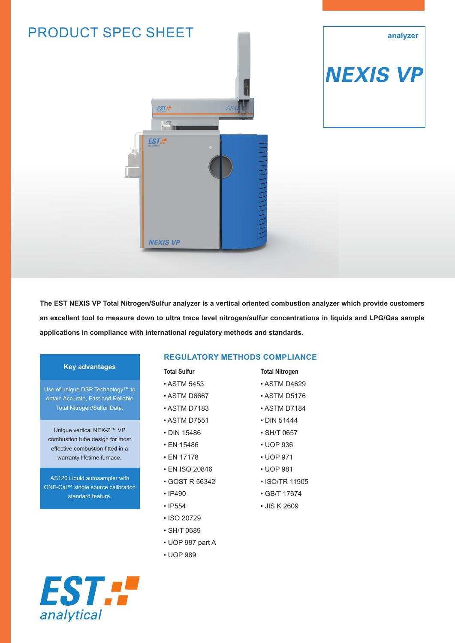

**The EST NEXIS VP Total Nitrogen/Sulfur analyzer is a vertical oriented combustion analyzer which provide customers an excellent tool to measure down to ultra trace level nitrogen/sulfur concentrations in liquids and LPG/Gas sample applications in compliance with international regulatory methods and standards.** 

#### **Key advantages**

Use of unique DSP Technology<sup>™</sup> to obtain Accurate, Fast and Reliable Total Nitrogen/Sulfur Data.

Unique vertical NEX-Z™ VP combustion tube design for most effective combustion fitted in a warranty lifetime furnace.

AS120 Liquid autosampler with ONE-Cal™ single source calibration standard feature.

EST F

analytical

#### **REGULATORY METHODS COMPLIANCE**

- **Total Sulfur**
- ASTM 5453
- ASTM D6667
- ASTM D7183
- ASTM D7551
- DIN 15486
- EN 15486
- EN 17178
- EN ISO 20846
- GOST R 56342
- IP490
- IP554
- ISO 20729
- SH/T 0689
- UOP 987 part A
- UOP 989

# **Total Nitrogen**

- ASTM D4629
- ASTM D5176
- ASTM D7184
- DIN 51444
- SH/T 0657
- UOP 936
- UOP 971
- UOP 981
- ISO/TR 11905
- GB/T 17674
- JIS K 2609